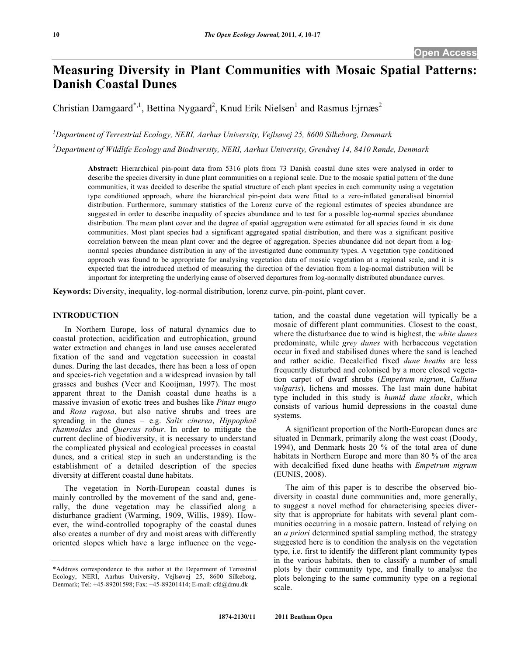# **Measuring Diversity in Plant Communities with Mosaic Spatial Patterns: Danish Coastal Dunes**

Christian Damgaard<sup>\*,1</sup>, Bettina Nygaard<sup>2</sup>, Knud Erik Nielsen<sup>1</sup> and Rasmus Ejrnæs<sup>2</sup>

*1 Department of Terrestrial Ecology, NERI, Aarhus University, Vejlsøvej 25, 8600 Silkeborg, Denmark*

*2 Department of Wildlife Ecology and Biodiversity, NERI, Aarhus University, Grenåvej 14, 8410 Rønde, Denmark*

**Abstract:** Hierarchical pin-point data from 5316 plots from 73 Danish coastal dune sites were analysed in order to describe the species diversity in dune plant communities on a regional scale. Due to the mosaic spatial pattern of the dune communities, it was decided to describe the spatial structure of each plant species in each community using a vegetation type conditioned approach, where the hierarchical pin-point data were fitted to a zero-inflated generalised binomial distribution. Furthermore, summary statistics of the Lorenz curve of the regional estimates of species abundance are suggested in order to describe inequality of species abundance and to test for a possible log-normal species abundance distribution. The mean plant cover and the degree of spatial aggregation were estimated for all species found in six dune communities. Most plant species had a significant aggregated spatial distribution, and there was a significant positive correlation between the mean plant cover and the degree of aggregation. Species abundance did not depart from a lognormal species abundance distribution in any of the investigated dune community types. A vegetation type conditioned approach was found to be appropriate for analysing vegetation data of mosaic vegetation at a regional scale, and it is expected that the introduced method of measuring the direction of the deviation from a log-normal distribution will be important for interpreting the underlying cause of observed departures from log-normally distributed abundance curves.

**Keywords:** Diversity, inequality, log-normal distribution, lorenz curve, pin-point, plant cover.

# **INTRODUCTION**

In Northern Europe, loss of natural dynamics due to coastal protection, acidification and eutrophication, ground water extraction and changes in land use causes accelerated fixation of the sand and vegetation succession in coastal dunes. During the last decades, there has been a loss of open and species-rich vegetation and a widespread invasion by tall grasses and bushes (Veer and Kooijman, 1997). The most apparent threat to the Danish coastal dune heaths is a massive invasion of exotic trees and bushes like *Pinus mugo* and *Rosa rugosa*, but also native shrubs and trees are spreading in the dunes – e.g. *Salix cinerea*, *Hippophaë rhamnoides* and *Quercus robur*. In order to mitigate the current decline of biodiversity, it is necessary to understand the complicated physical and ecological processes in coastal dunes, and a critical step in such an understanding is the establishment of a detailed description of the species diversity at different coastal dune habitats.

The vegetation in North-European coastal dunes is mainly controlled by the movement of the sand and, generally, the dune vegetation may be classified along a disturbance gradient (Warming, 1909, Willis, 1989). However, the wind-controlled topography of the coastal dunes also creates a number of dry and moist areas with differently oriented slopes which have a large influence on the vegetation, and the coastal dune vegetation will typically be a mosaic of different plant communities. Closest to the coast, where the disturbance due to wind is highest, the *white dunes* predominate, while *grey dunes* with herbaceous vegetation occur in fixed and stabilised dunes where the sand is leached and rather acidic. Decalcified fixed *dune heaths* are less frequently disturbed and colonised by a more closed vegetation carpet of dwarf shrubs (*Empetrum nigrum*, *Calluna vulgaris*), lichens and mosses. The last main dune habitat type included in this study is *humid dune slacks*, which consists of various humid depressions in the coastal dune systems.

A significant proportion of the North-European dunes are situated in Denmark, primarily along the west coast (Doody, 1994), and Denmark hosts 20 % of the total area of dune habitats in Northern Europe and more than 80 % of the area with decalcified fixed dune heaths with *Empetrum nigrum* (EUNIS, 2008).

The aim of this paper is to describe the observed biodiversity in coastal dune communities and, more generally, to suggest a novel method for characterising species diversity that is appropriate for habitats with several plant communities occurring in a mosaic pattern. Instead of relying on an *a priori* determined spatial sampling method, the strategy suggested here is to condition the analysis on the vegetation type, i.e. first to identify the different plant community types in the various habitats, then to classify a number of small plots by their community type, and finally to analyse the plots belonging to the same community type on a regional scale.

<sup>\*</sup>Address correspondence to this author at the Department of Terrestrial Ecology, NERI, Aarhus University, Vejlsøvej 25, 8600 Silkeborg, Denmark; Tel: +45-89201598; Fax: +45-89201414; E-mail: cfd@dmu.dk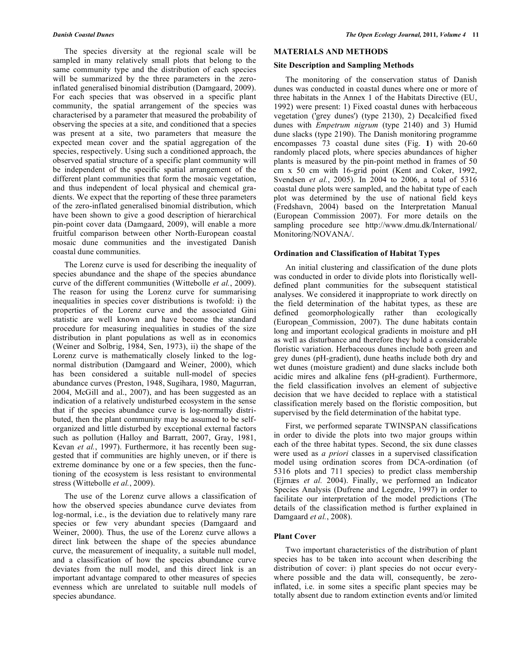The species diversity at the regional scale will be sampled in many relatively small plots that belong to the same community type and the distribution of each species will be summarized by the three parameters in the zeroinflated generalised binomial distribution (Damgaard, 2009). For each species that was observed in a specific plant community, the spatial arrangement of the species was characterised by a parameter that measured the probability of observing the species at a site, and conditioned that a species was present at a site, two parameters that measure the expected mean cover and the spatial aggregation of the species, respectively. Using such a conditioned approach, the observed spatial structure of a specific plant community will be independent of the specific spatial arrangement of the different plant communities that form the mosaic vegetation, and thus independent of local physical and chemical gradients. We expect that the reporting of these three parameters of the zero-inflated generalised binomial distribution, which have been shown to give a good description of hierarchical pin-point cover data (Damgaard, 2009), will enable a more fruitful comparison between other North-European coastal mosaic dune communities and the investigated Danish coastal dune communities.

The Lorenz curve is used for describing the inequality of species abundance and the shape of the species abundance curve of the different communities (Wittebolle *et al.*, 2009). The reason for using the Lorenz curve for summarising inequalities in species cover distributions is twofold: i) the properties of the Lorenz curve and the associated Gini statistic are well known and have become the standard procedure for measuring inequalities in studies of the size distribution in plant populations as well as in economics (Weiner and Solbrig, 1984, Sen, 1973), ii) the shape of the Lorenz curve is mathematically closely linked to the lognormal distribution (Damgaard and Weiner, 2000), which has been considered a suitable null-model of species abundance curves (Preston, 1948, Sugihara, 1980, Magurran, 2004, McGill and al., 2007), and has been suggested as an indication of a relatively undisturbed ecosystem in the sense that if the species abundance curve is log-normally distributed, then the plant community may be assumed to be selforganized and little disturbed by exceptional external factors such as pollution (Halloy and Barratt, 2007, Gray, 1981, Kevan *et al.*, 1997). Furthermore, it has recently been suggested that if communities are highly uneven, or if there is extreme dominance by one or a few species, then the functioning of the ecosystem is less resistant to environmental stress (Wittebolle *et al.*, 2009).

The use of the Lorenz curve allows a classification of how the observed species abundance curve deviates from log-normal, i.e., is the deviation due to relatively many rare species or few very abundant species (Damgaard and Weiner, 2000). Thus, the use of the Lorenz curve allows a direct link between the shape of the species abundance curve, the measurement of inequality, a suitable null model, and a classification of how the species abundance curve deviates from the null model, and this direct link is an important advantage compared to other measures of species evenness which are unrelated to suitable null models of species abundance.

# **MATERIALS AND METHODS**

#### **Site Description and Sampling Methods**

The monitoring of the conservation status of Danish dunes was conducted in coastal dunes where one or more of three habitats in the Annex 1 of the Habitats Directive (EU, 1992) were present: 1) Fixed coastal dunes with herbaceous vegetation ('grey dunes') (type 2130), 2) Decalcified fixed dunes with *Empetrum nigrum* (type 2140) and 3) Humid dune slacks (type 2190). The Danish monitoring programme encompasses 73 coastal dune sites (Fig. **1**) with 20-60 randomly placed plots, where species abundances of higher plants is measured by the pin-point method in frames of 50 cm x 50 cm with 16-grid point (Kent and Coker, 1992, Svendsen *et al.*, 2005). In 2004 to 2006, a total of 5316 coastal dune plots were sampled, and the habitat type of each plot was determined by the use of national field keys (Fredshavn, 2004) based on the Interpretation Manual (European Commission 2007). For more details on the sampling procedure see http://www.dmu.dk/International/ Monitoring/NOVANA/.

#### **Ordination and Classification of Habitat Types**

An initial clustering and classification of the dune plots was conducted in order to divide plots into floristically welldefined plant communities for the subsequent statistical analyses. We considered it inappropriate to work directly on the field determination of the habitat types, as these are defined geomorphologically rather than ecologically (European\_Commission, 2007). The dune habitats contain long and important ecological gradients in moisture and pH as well as disturbance and therefore they hold a considerable floristic variation. Herbaceous dunes include both green and grey dunes (pH-gradient), dune heaths include both dry and wet dunes (moisture gradient) and dune slacks include both acidic mires and alkaline fens (pH-gradient). Furthermore, the field classification involves an element of subjective decision that we have decided to replace with a statistical classification merely based on the floristic composition, but supervised by the field determination of the habitat type.

First, we performed separate TWINSPAN classifications in order to divide the plots into two major groups within each of the three habitat types. Second, the six dune classes were used as *a priori* classes in a supervised classification model using ordination scores from DCA-ordination (of 5316 plots and 711 species) to predict class membership (Ejrnæs *et al.* 2004). Finally, we performed an Indicator Species Analysis (Dufrene and Legendre, 1997) in order to facilitate our interpretation of the model predictions (The details of the classification method is further explained in Damgaard *et al.*, 2008).

### **Plant Cover**

Two important characteristics of the distribution of plant species has to be taken into account when describing the distribution of cover: i) plant species do not occur everywhere possible and the data will, consequently, be zeroinflated, i.e. in some sites a specific plant species may be totally absent due to random extinction events and/or limited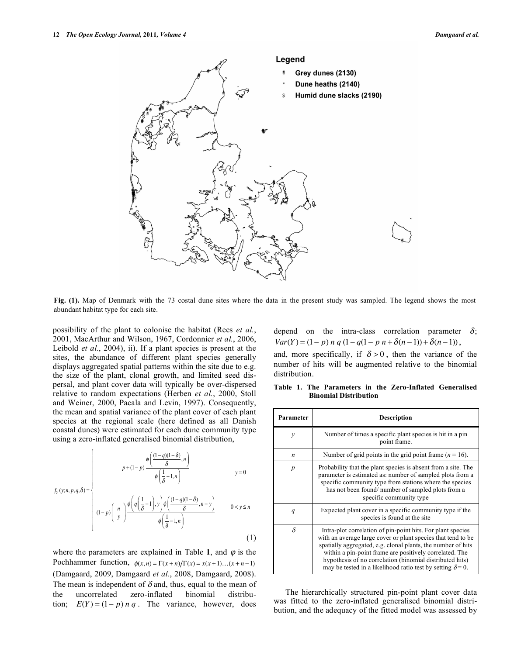

**Fig. (1).** Map of Denmark with the 73 costal dune sites where the data in the present study was sampled. The legend shows the most abundant habitat type for each site.

possibility of the plant to colonise the habitat (Rees *et al.*, 2001, MacArthur and Wilson, 1967, Cordonnier *et al.*, 2006, Leibold *et al.*, 2004), ii). If a plant species is present at the sites, the abundance of different plant species generally displays aggregated spatial patterns within the site due to e.g. the size of the plant, clonal growth, and limited seed dispersal, and plant cover data will typically be over-dispersed relative to random expectations (Herben *et al.*, 2000, Stoll and Weiner, 2000, Pacala and Levin, 1997). Consequently, the mean and spatial variance of the plant cover of each plant species at the regional scale (here defined as all Danish coastal dunes) were estimated for each dune community type using a zero-inflated generalised binomial distribution,

$$
f_Y(y;n,p,q,\delta) = \begin{cases} p + (1-p) \frac{\phi\left(\frac{(1-q)(1-\delta)}{\delta},n\right)}{\phi\left(\frac{1}{\delta}-1,n\right)} & y = 0\\ (1-p) \left(\begin{array}{c} n \\ y \end{array}\right) \frac{\phi\left(q\left(\frac{1}{\delta}-1\right),y\right)\phi\left(\frac{(1-q)(1-\delta)}{\delta},n-y\right)}{\phi\left(\frac{1}{\delta}-1,n\right)} & 0 < y \le n \end{cases}
$$
(1)

where the parameters are explained in Table 1, and  $\varphi$  is the Pochhammer function,  $\phi(x, n) = \Gamma(x+n)/\Gamma(x) = x(x+1)...(x+n-1)$ (Damgaard, 2009, Damgaard *et al.*, 2008, Damgaard, 2008). The mean is independent of  $\delta$  and, thus, equal to the mean of the uncorrelated zero-inflated binomial distribution;  $E(Y) = (1 - p) n q$ . The variance, however, does depend on the intra-class correlation parameter  $\delta$ ;  $Var(Y) = (1-p) n q (1 - q(1-p) n + \delta(n-1)) + \delta(n-1)),$ 

and, more specifically, if  $\delta > 0$ , then the variance of the number of hits will be augmented relative to the binomial distribution.

**Table 1. The Parameters in the Zero-Inflated Generalised Binomial Distribution**

| Parameter        | <b>Description</b>                                                                                                                                                                                                                                                                                                                                                                       |  |  |  |  |
|------------------|------------------------------------------------------------------------------------------------------------------------------------------------------------------------------------------------------------------------------------------------------------------------------------------------------------------------------------------------------------------------------------------|--|--|--|--|
| $\mathcal{Y}$    | Number of times a specific plant species is hit in a pin<br>point frame.                                                                                                                                                                                                                                                                                                                 |  |  |  |  |
| $\boldsymbol{n}$ | Number of grid points in the grid point frame $(n = 16)$ .                                                                                                                                                                                                                                                                                                                               |  |  |  |  |
| $\boldsymbol{p}$ | Probability that the plant species is absent from a site. The<br>parameter is estimated as: number of sampled plots from a<br>specific community type from stations where the species<br>has not been found/number of sampled plots from a<br>specific community type                                                                                                                    |  |  |  |  |
| q                | Expected plant cover in a specific community type if the<br>species is found at the site                                                                                                                                                                                                                                                                                                 |  |  |  |  |
| $\delta$         | Intra-plot correlation of pin-point hits. For plant species<br>with an average large cover or plant species that tend to be<br>spatially aggregated, e.g. clonal plants, the number of hits<br>within a pin-point frame are positively correlated. The<br>hypothesis of no correlation (binomial distributed hits)<br>may be tested in a likelihood ratio test by setting $\delta = 0$ . |  |  |  |  |

The hierarchically structured pin-point plant cover data was fitted to the zero-inflated generalised binomial distribution, and the adequacy of the fitted model was assessed by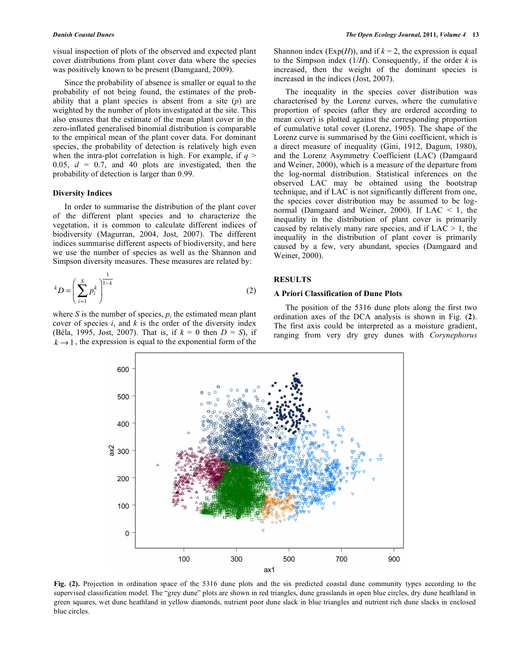visual inspection of plots of the observed and expected plant cover distributions from plant cover data where the species was positively known to be present (Damgaard, 2009).

Since the probability of absence is smaller or equal to the probability of not being found, the estimates of the probability that a plant species is absent from a site (*p*) are weighted by the number of plots investigated at the site. This also ensures that the estimate of the mean plant cover in the zero-inflated generalised binomial distribution is comparable to the empirical mean of the plant cover data. For dominant species, the probability of detection is relatively high even when the intra-plot correlation is high. For example, if  $q >$ 0.05,  $d = 0.7$ , and 40 plots are investigated, then the probability of detection is larger than 0.99.

#### **Diversity Indices**

In order to summarise the distribution of the plant cover of the different plant species and to characterize the vegetation, it is common to calculate different indices of biodiversity (Magurran, 2004, Jost, 2007). The different indices summarise different aspects of biodiversity, and here we use the number of species as well as the Shannon and Simpson diversity measures. These measures are related by:

$$
{}^{k}D = \left(\sum_{i=1}^{S} p_{i}^{k}\right)^{\frac{1}{1-k}}
$$
 (2)

where *S* is the number of species,  $p_i$  the estimated mean plant cover of species *i*, and *k* is the order of the diversity index (Béla, 1995, Jost, 2007). That is, if *k* = 0 then *D* = *S*), if  $k \rightarrow 1$ , the expression is equal to the exponential form of the Shannon index ( $Exp(H)$ ), and if  $k = 2$ , the expression is equal to the Simpson index  $(1/H)$ . Consequently, if the order *k* is increased, then the weight of the dominant species is increased in the indices (Jost, 2007).

The inequality in the species cover distribution was characterised by the Lorenz curves, where the cumulative proportion of species (after they are ordered according to mean cover) is plotted against the corresponding proportion of cumulative total cover (Lorenz, 1905). The shape of the Lorenz curve is summarised by the Gini coefficient, which is a direct measure of inequality (Gini, 1912, Dagum, 1980), and the Lorenz Asymmetry Coefficient (LAC) (Damgaard and Weiner, 2000), which is a measure of the departure from the log-normal distribution. Statistical inferences on the observed LAC may be obtained using the bootstrap technique, and if LAC is not significantly different from one, the species cover distribution may be assumed to be lognormal (Damgaard and Weiner, 2000). If LAC < 1, the inequality in the distribution of plant cover is primarily caused by relatively many rare species, and if  $LAC > 1$ , the inequality in the distribution of plant cover is primarily caused by a few, very abundant, species (Damgaard and Weiner, 2000).

#### **RESULTS**

#### **A Priori Classification of Dune Plots**

The position of the 5316 dune plots along the first two ordination axes of the DCA analysis is shown in Fig. (**2**). The first axis could be interpreted as a moisture gradient, ranging from very dry grey dunes with *Corynephorus* 



**Fig. (2).** Projection in ordination space of the 5316 dune plots and the six predicted coastal dune community types according to the supervised classification model. The "grey dune" plots are shown in red triangles, dune grasslands in open blue circles, dry dune heathland in green squares, wet dune heathland in yellow diamonds, nutrient poor dune slack in blue triangles and nutrient rich dune slacks in enclosed blue circles.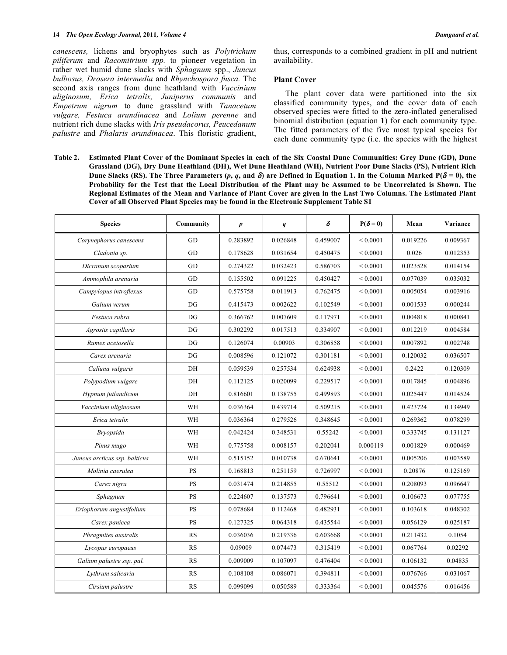*canescens,* lichens and bryophytes such as *Polytrichum piliferum* and *Racomitrium spp.* to pioneer vegetation in rather wet humid dune slacks with *Sphagnum* spp., *Juncus bulbosus, Drosera intermedia* and *Rhynchospora fusca.* The second axis ranges from dune heathland with *Vaccinium uliginosum, Erica tetralix, Juniperus communis* and *Empetrum nigrum* to dune grassland with *Tanacetum vulgare, Festuca arundinacea* and *Lolium perenne* and nutrient rich dune slacks with *Iris pseudacorus, Peucedanum palustre* and *Phalaris arundinacea*. This floristic gradient, thus, corresponds to a combined gradient in pH and nutrient availability.

#### **Plant Cover**

The plant cover data were partitioned into the six classified community types, and the cover data of each observed species were fitted to the zero-inflated generalised binomial distribution (equation **1**) for each community type. The fitted parameters of the five most typical species for each dune community type (i.e. the species with the highest

Table 2. Estimated Plant Cover of the Dominant Species in each of the Six Coastal Dune Communities: Grey Dune (GD), Dune Grassland (DG), Dry Dune Heathland (DH), Wet Dune Heathland (WH), Nutrient Poor Dune Slacks (PS), Nutrient Rich Dune Slacks (RS). The Three Parameters (p, q, and  $\delta$ ) are Defined in Equation 1. In the Column Marked P( $\delta$  = 0), the Probability for the Test that the Local Distribution of the Plant may be Assumed to be Uncorrelated is Shown. The Regional Estimates of the Mean and Variance of Plant Cover are given in the Last Two Columns. The Estimated Plant **Cover of all Observed Plant Species may be found in the Electronic Supplement Table S1**

| <b>Species</b>                | Community              | $\boldsymbol{p}$ | q        | $\pmb{\delta}$ | $P(\delta=0)$      | Mean     | Variance |
|-------------------------------|------------------------|------------------|----------|----------------|--------------------|----------|----------|
| Corynephorus canescens        | GD                     | 0.283892         | 0.026848 | 0.459007       | ${}< 0.0001$       | 0.019226 | 0.009367 |
| Cladonia sp.                  | GD                     | 0.178628         | 0.031654 | 0.450475       | ${}_{0.0001}$      | 0.026    | 0.012353 |
| Dicranum scoparium            | GD                     | 0.274322         | 0.032423 | 0.586703       | ${}_{0.0001}$      | 0.023528 | 0.014154 |
| Ammophila arenaria            | GD                     | 0.155502         | 0.091225 | 0.450427       | ${}_{0.0001}$      | 0.077039 | 0.035032 |
| Campylopus introflexus        | GD                     | 0.575758         | 0.011913 | 0.762475       | ${}_{0.0001}$      | 0.005054 | 0.003916 |
| Galium verum                  | DG                     | 0.415473         | 0.002622 | 0.102549       | ${}_{\leq 0.0001}$ | 0.001533 | 0.000244 |
| Festuca rubra                 | DG                     | 0.366762         | 0.007609 | 0.117971       | ${}_{0.0001}$      | 0.004818 | 0.000841 |
| Agrostis capillaris           | DG                     | 0.302292         | 0.017513 | 0.334907       | ${}_{0.0001}$      | 0.012219 | 0.004584 |
| Rumex acetosella              | DG                     | 0.126074         | 0.00903  | 0.306858       | ${}_{0.0001}$      | 0.007892 | 0.002748 |
| Carex arenaria                | DG                     | 0.008596         | 0.121072 | 0.301181       | ${}_{0.0001}$      | 0.120032 | 0.036507 |
| Calluna vulgaris              | DH                     | 0.059539         | 0.257534 | 0.624938       | ${}_{0.0001}$      | 0.2422   | 0.120309 |
| Polypodium vulgare            | DH                     | 0.112125         | 0.020099 | 0.229517       | ${}_{0.0001}$      | 0.017845 | 0.004896 |
| Hypnum jutlandicum            | DH                     | 0.816601         | 0.138755 | 0.499893       | ${}_{0.0001}$      | 0.025447 | 0.014524 |
| Vaccinium uliginosum          | WH                     | 0.036364         | 0.439714 | 0.509215       | ${}_{0.0001}$      | 0.423724 | 0.134949 |
| Erica tetralix                | WH                     | 0.036364         | 0.279526 | 0.348645       | ${}_{0.0001}$      | 0.269362 | 0.078299 |
| <b>Bryopsida</b>              | WH                     | 0.042424         | 0.348531 | 0.55242        | ${}_{0.0001}$      | 0.333745 | 0.131127 |
| Pinus mugo                    | WH                     | 0.775758         | 0.008157 | 0.202041       | 0.000119           | 0.001829 | 0.000469 |
| Juncus arcticus ssp. balticus | WH                     | 0.515152         | 0.010738 | 0.670641       | ${}_{\leq 0.0001}$ | 0.005206 | 0.003589 |
| Molinia caerulea              | <b>PS</b>              | 0.168813         | 0.251159 | 0.726997       | ${}_{0.0001}$      | 0.20876  | 0.125169 |
| Carex nigra                   | <b>PS</b>              | 0.031474         | 0.214855 | 0.55512        | ${}_{\leq 0.0001}$ | 0.208093 | 0.096647 |
| Sphagnum                      | <b>PS</b>              | 0.224607         | 0.137573 | 0.796641       | ${}_{0.0001}$      | 0.106673 | 0.077755 |
| Eriophorum angustifolium      | <b>PS</b>              | 0.078684         | 0.112468 | 0.482931       | ${}_{0.0001}$      | 0.103618 | 0.048302 |
| Carex panicea                 | PS                     | 0.127325         | 0.064318 | 0.435544       | ${}_{0.0001}$      | 0.056129 | 0.025187 |
| Phragmites australis          | RS                     | 0.036036         | 0.219336 | 0.603668       | ${}_{0.0001}$      | 0.211432 | 0.1054   |
| Lycopus europaeus             | RS                     | 0.09009          | 0.074473 | 0.315419       | ${}_{0.0001}$      | 0.067764 | 0.02292  |
| Galium palustre ssp. pal.     | RS                     | 0.009009         | 0.107097 | 0.476404       | ${}_{0.0001}$      | 0.106132 | 0.04835  |
| Lythrum salicaria             | <b>RS</b>              | 0.108108         | 0.086071 | 0.394811       | ${}_{0.0001}$      | 0.076766 | 0.031067 |
| Cirsium palustre              | $\mathbf{R}\mathbf{S}$ | 0.099099         | 0.050589 | 0.333364       | ${}< 0.0001$       | 0.045576 | 0.016456 |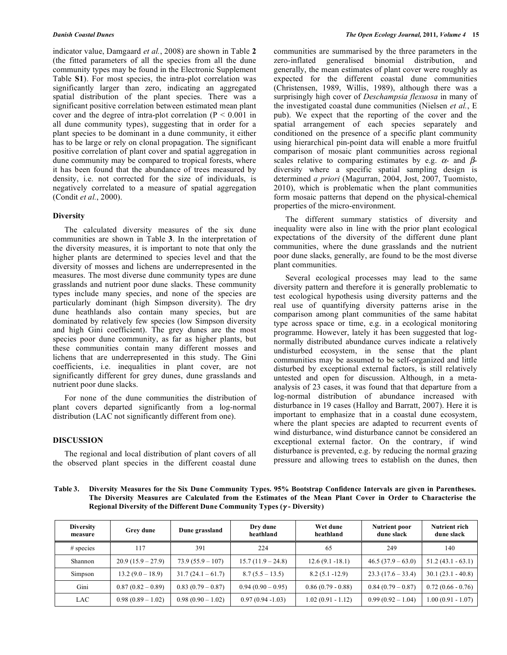indicator value, Damgaard *et al.*, 2008) are shown in Table **2** (the fitted parameters of all the species from all the dune community types may be found in the Electronic Supplement Table **S1**). For most species, the intra-plot correlation was significantly larger than zero, indicating an aggregated spatial distribution of the plant species. There was a significant positive correlation between estimated mean plant cover and the degree of intra-plot correlation ( $P < 0.001$  in all dune community types), suggesting that in order for a plant species to be dominant in a dune community, it either has to be large or rely on clonal propagation. The significant positive correlation of plant cover and spatial aggregation in dune community may be compared to tropical forests, where it has been found that the abundance of trees measured by density, i.e. not corrected for the size of individuals, is negatively correlated to a measure of spatial aggregation (Condit *et al.*, 2000).

#### **Diversity**

The calculated diversity measures of the six dune communities are shown in Table **3**. In the interpretation of the diversity measures, it is important to note that only the higher plants are determined to species level and that the diversity of mosses and lichens are underrepresented in the measures. The most diverse dune community types are dune grasslands and nutrient poor dune slacks. These community types include many species, and none of the species are particularly dominant (high Simpson diversity). The dry dune heathlands also contain many species, but are dominated by relatively few species (low Simpson diversity and high Gini coefficient). The grey dunes are the most species poor dune community, as far as higher plants, but these communities contain many different mosses and lichens that are underrepresented in this study. The Gini coefficients, i.e. inequalities in plant cover, are not significantly different for grey dunes, dune grasslands and nutrient poor dune slacks.

For none of the dune communities the distribution of plant covers departed significantly from a log-normal distribution (LAC not significantly different from one).

#### **DISCUSSION**

The regional and local distribution of plant covers of all the observed plant species in the different coastal dune communities are summarised by the three parameters in the zero-inflated generalised binomial distribution, and generally, the mean estimates of plant cover were roughly as expected for the different coastal dune communities (Christensen, 1989, Willis, 1989), although there was a surprisingly high cover of *Deschampsia flexuosa* in many of the investigated coastal dune communities (Nielsen *et al.*, E pub). We expect that the reporting of the cover and the spatial arrangement of each species separately and conditioned on the presence of a specific plant community using hierarchical pin-point data will enable a more fruitful comparison of mosaic plant communities across regional scales relative to comparing estimates by e.g.  $\alpha$ - and  $\beta$ diversity where a specific spatial sampling design is determined *a priori* (Magurran, 2004, Jost, 2007, Tuomisto, 2010), which is problematic when the plant communities form mosaic patterns that depend on the physical-chemical properties of the micro-environment.

The different summary statistics of diversity and inequality were also in line with the prior plant ecological expectations of the diversity of the different dune plant communities, where the dune grasslands and the nutrient poor dune slacks, generally, are found to be the most diverse plant communities.

Several ecological processes may lead to the same diversity pattern and therefore it is generally problematic to test ecological hypothesis using diversity patterns and the real use of quantifying diversity patterns arise in the comparison among plant communities of the same habitat type across space or time, e.g. in a ecological monitoring programme. However, lately it has been suggested that lognormally distributed abundance curves indicate a relatively undisturbed ecosystem, in the sense that the plant communities may be assumed to be self-organized and little disturbed by exceptional external factors, is still relatively untested and open for discussion. Although, in a metaanalysis of 23 cases, it was found that that departure from a log-normal distribution of abundance increased with disturbance in 19 cases (Halloy and Barratt, 2007). Here it is important to emphasize that in a coastal dune ecosystem, where the plant species are adapted to recurrent events of wind disturbance, wind disturbance cannot be considered an exceptional external factor. On the contrary, if wind disturbance is prevented, e.g. by reducing the normal grazing pressure and allowing trees to establish on the dunes, then

Table 3. Diversity Measures for the Six Dune Community Types. 95% Bootstrap Confidence Intervals are given in Parentheses. The Diversity Measures are Calculated from the Estimates of the Mean Plant Cover in Order to Characterise the **Regional Diversity of the Different Dune Community Types (**γ **- Diversity)**

| <b>Diversity</b><br>measure | Grey dune          | Dune grassland     | Dry dune<br>heathland | Wet dune<br>heathland | <b>Nutrient poor</b><br>dune slack | <b>Nutrient rich</b><br>dune slack |
|-----------------------------|--------------------|--------------------|-----------------------|-----------------------|------------------------------------|------------------------------------|
| $#$ species                 | 117                | 391                | 224                   | 65                    | 249                                | 140                                |
| Shannon                     | $20.9(15.9-27.9)$  | $73.9(55.9 - 107)$ | $15.7(11.9 - 24.8)$   | $12.6(9.1 - 18.1)$    | $46.5(37.9-63.0)$                  | $51.2(43.1 - 63.1)$                |
| Simpson                     | $13.2(9.0 - 18.9)$ | $31.7(24.1-61.7)$  | $8.7(5.5 - 13.5)$     | $8.2(5.1 - 12.9)$     | $23.3(17.6-33.4)$                  | $30.1(23.1 - 40.8)$                |
| Gini                        | $0.87(0.82-0.89)$  | $0.83(0.79-0.87)$  | $0.94(0.90-0.95)$     | $0.86(0.79 - 0.88)$   | $0.84(0.79-0.87)$                  | $0.72(0.66 - 0.76)$                |
| <b>LAC</b>                  | $0.98(0.89-1.02)$  | $0.98(0.90-1.02)$  | $0.97(0.94 - 1.03)$   | $1.02(0.91 - 1.12)$   | $0.99(0.92 - 1.04)$                | $1.00(0.91 - 1.07)$                |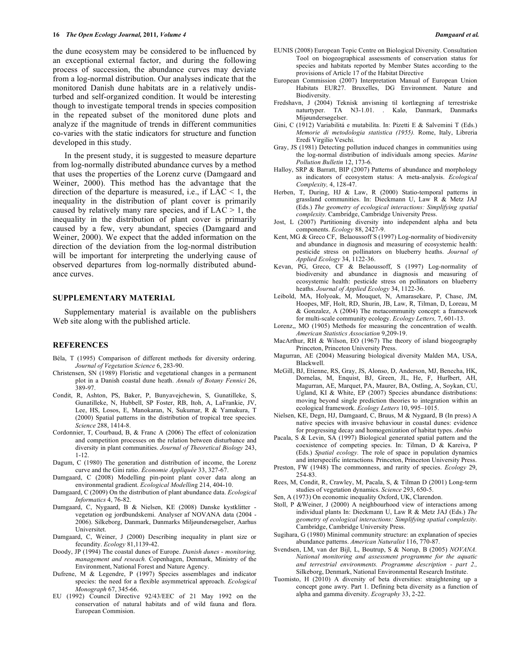the dune ecosystem may be considered to be influenced by an exceptional external factor, and during the following process of succession, the abundance curves may deviate from a log-normal distribution. Our analyses indicate that the monitored Danish dune habitats are in a relatively undisturbed and self-organized condition. It would be interesting though to investigate temporal trends in species composition in the repeated subset of the monitored dune plots and analyze if the magnitude of trends in different communities co-varies with the static indicators for structure and function developed in this study.

In the present study, it is suggested to measure departure from log-normally distributed abundance curves by a method that uses the properties of the Lorenz curve (Damgaard and Weiner, 2000). This method has the advantage that the direction of the departure is measured, i.e., if  $LAC \leq 1$ , the inequality in the distribution of plant cover is primarily caused by relatively many rare species, and if  $LAC > 1$ , the inequality in the distribution of plant cover is primarily caused by a few, very abundant, species (Damgaard and Weiner, 2000). We expect that the added information on the direction of the deviation from the log-normal distribution will be important for interpreting the underlying cause of observed departures from log-normally distributed abundance curves.

#### **SUPPLEMENTARY MATERIAL**

Supplementary material is available on the publishers Web site along with the published article.

#### **REFERENCES**

- Béla, T (1995) Comparison of different methods for diversity ordering. *Journal of Vegetation Science* 6, 283-90.
- Christensen, SN (1989) Floristic and vegetational changes in a permanent plot in a Danish coastal dune heath. *Annals of Botany Fennici* 26, 389-97.
- Condit, R, Ashton, PS, Baker, P, Bunyavejchewin, S, Gunatilleke, S, Gunatilleke, N, Hubbell, SP Foster, RB, Itoh, A, LaFrankie, JV, Lee, HS, Losos, E, Manokaran, N, Sukumar, R & Yamakura, T (2000) Spatial patterns in the distribution of tropical tree species. *Science* 288, 1414-8.
- Cordonnier, T, Courbaud, B, & Franc A (2006) The effect of colonization and competition processes on the relation between disturbance and diversity in plant communities. *Journal of Theoretical Biology* 243, 1-12.
- Dagum, C (1980) The generation and distribution of income, the Lorenz curve and the Gini ratio. *Économie Appliquée* 33, 327-67.
- Damgaard, C (2008) Modelling pin-point plant cover data along an environmental gradient. *Ecological Modellin*g 214, 404-10.
- Damgaard, C (2009) On the distribution of plant abundance data. *Ecological Informatics* 4, 76-82.
- Damgaard, C, Nygaard, B & Nielsen, KE (2008) Danske kystklitter vegetation og jordbundskemi. Analyser af NOVANA data (2004 - 2006). Silkeborg, Danmark, Danmarks Miljøundersøgelser, Aarhus Universitet.
- Damgaard, C, Weiner, J (2000) Describing inequality in plant size or fecundity. *Ecology* 81,1139-42.
- Doody, JP (1994) The coastal dunes of Europe. *Danish dunes - monitoring, management and reseach.* Copenhagen, Denmark, Ministry of the Environment, National Forest and Nature Agency.
- Dufrene, M & Legendre, P (1997) Species assemblages and indicator species: the need for a flexible asymmetrical approach. *Ecological Monograph* 67, 345-66.
- EU (1992) Council Directive 92/43/EEC of 21 May 1992 on the conservation of natural habitats and of wild fauna and flora. European Commision.
- EUNIS (2008) European Topic Centre on Biological Diversity. Consultation Tool on biogeographical assessments of conservation status for species and habitats reported by Member States according to the provisions of Article 17 of the Habitat Directive
- European Commission (2007) Interpretation Manual of European Union Habitats EUR27. Bruxelles, DG Environment. Nature and Biodiversity.
- Fredshavn, J (2004) Teknisk anvisning til kortlægning af terrestriske naturtyper. TA N3-1.01. . Kalø, Danmark, Danmarks Mijøundersøgelser.
- Gini, C (1912) Variabilitá e mutabilita. In: Pizetti E & Salvemini T (Eds.) *Memorie di metodologia statistica (1955).* Rome, Italy, Libreria Eredi Virgilio Veschi.
- Gray, JS (1981) Detecting pollution induced changes in communities using the log-normal distribution of individuals among species. *Marine Pollution Bulletin* 12, 173-6.
- Halloy, SRP & Barratt, BIP (2007) Patterns of abundance and morphology as indicators of ecosystem status: A meta-analysis. *Ecological Complexity,* 4, 128-47.
- Herben, T, During, HJ & Law, R (2000) Statio-temporal patterns in grassland communities. In: Dieckmann U, Law R & Metz JAJ (Eds.) *The geometry of ecological interactions: Simplifying spatial complexity.* Cambridge, Cambridge University Press.
- Jost, L (2007) Partitioning diversity into independent alpha and beta components. *Ecology* 88, 2427-9.
- Kent, MG & Greco CF, Belaoussoff S (1997) Log-normality of biodiversity and abundance in diagnosis and measuring of ecosystemic health: pesticide stress on pollinators on blueberry heaths. *Journal of Applied Ecology* 34, 1122-36.
- Kevan, PG, Greco, CF & Belaoussoff, S (1997) Log-normality of biodiversity and abundance in diagnosis and measuring of ecosystemic health: pesticide stress on pollinators on blueberry heaths. *Journal of Applied Ecology* 34, 1122-36.
- Leibold, MA, Holyoak, M, Mouquet, N, Amarasekare, P, Chase, JM, Hoopes, MF, Holt, RD, Shurin, JB, Law, R, Tilman, D, Loreau, M & Gonzalez, A (2004) The metacommunity concept: a framework for multi-scale community ecology. *Ecology Letters,* 7, 601-13.
- Lorenz,, MO (1905) Methods for measuring the concentration of wealth. *American Statistics Association* 9,209-19.
- MacArthur, RH & Wilson, EO (1967) The theory of island biogeography Princeton, Princeton University Press.
- Magurran, AE (2004) Measuring biological diversity Malden MA, USA, Blackwell.
- McGill, BJ, Etienne, RS, Gray, JS, Alonso, D, Anderson, MJ, Benecha, HK, Dornelas, M, Enquist, BJ, Green, JL, He, F, Hurlbert, AH, Magurran, AE, Marquet, PA, Maurer, BA, Ostling, A, Soykan, CU, Ugland, KI & White, EP (2007) Species abundance distributions: moving beyond single prediction theories to integration within an ecological framework. *Ecology Letters* 10, 995–1015.
- Nielsen, KE, Degn, HJ, Damgaard, C, Bruus, M & Nygaard, B (In press) A native species with invasive behaviour in coastal dunes: evidence for progressing decay and homogenization of habitat types. *Ambio*
- Pacala, S & Levin, SA (1997) Biological generated spatial pattern and the coexistence of competing species. In: Tilman, D & Kareiva, P (Eds.) *Spatial ecology.* The role of space in population dynamics and interspecific interactions*.* Princeton, Princeton University Press.
- Preston, FW (1948) The commonness, and rarity of species. *Ecology* 29, 254-83.
- Rees, M, Condit, R, Crawley, M, Pacala, S, & Tilman D (2001) Long-term studies of vegetation dynamics. *Science* 293, 650-5.
- Sen, A (1973) On economic inequality Oxford, UK, Clarendon.
- Stoll, P &Weiner, J (2000) A neighbourhood view of interactions among individual plants In: Dieckmann U, Law R & Metz JAJ (Eds.) *The geometry of ecological interactions: Simplifying spatial complexity.* Cambridge, Cambridge University Press.
- Sugihara, G (1980) Minimal community structure: an explanation of species abundance patterns. *American Naturalist* 116, 770-87.
- Svendsen, LM, van der Bijl, L, Boutrup, S & Norup, B (2005) *NOVANA. National monitoring and assessment programme for the aquatic and terrestrial environments. Programme description - part 2.,* Silkeborg, Denmark, National Environmental Research Institute.
- Tuomisto, H (2010) A diversity of beta diversities: straightening up a concept gone awry. Part 1. Defining beta diversity as a function of alpha and gamma diversity. *Ecography* 33, 2-22.